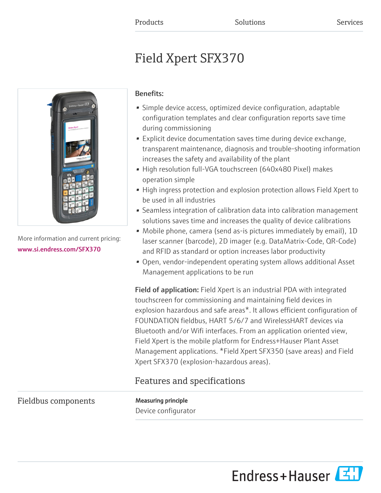# Field Xpert SFX370



More information and current pricing: [www.si.endress.com/SFX370](https://www.si.endress.com/SFX370)

### Benefits:

- Simple device access, optimized device configuration, adaptable configuration templates and clear configuration reports save time during commissioning
- Explicit device documentation saves time during device exchange, transparent maintenance, diagnosis and trouble-shooting information increases the safety and availability of the plant
- High resolution full-VGA touchscreen (640x480 Pixel) makes operation simple
- High ingress protection and explosion protection allows Field Xpert to be used in all industries
- Seamless integration of calibration data into calibration management solutions saves time and increases the quality of device calibrations
- Mobile phone, camera (send as-is pictures immediately by email), 1D laser scanner (barcode), 2D imager (e.g. DataMatrix-Code, QR-Code) and RFID as standard or option increases labor productivity
- Open, vendor-independent operating system allows additional Asset Management applications to be run

Field of application: Field Xpert is an industrial PDA with integrated touchscreen for commissioning and maintaining field devices in explosion hazardous and safe areas\*. It allows efficient configuration of FOUNDATION fieldbus, HART 5/6/7 and WirelessHART devices via Bluetooth and/or Wifi interfaces. From an application oriented view, Field Xpert is the mobile platform for Endress+Hauser Plant Asset Management applications. \*Field Xpert SFX350 (save areas) and Field Xpert SFX370 (explosion-hazardous areas).

# Features and specifications

# Fieldbus components Measuring principle

Device configurator

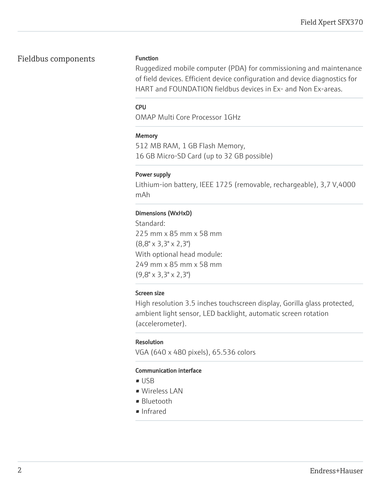# Fieldbus components Function

Ruggedized mobile computer (PDA) for commissioning and maintenance of field devices. Efficient device configuration and device diagnostics for HART and FOUNDATION fieldbus devices in Ex- and Non Ex-areas.

#### CPU

OMAP Multi Core Processor 1GHz

#### **Memory**

512 MB RAM, 1 GB Flash Memory, 16 GB Micro-SD Card (up to 32 GB possible)

#### Power supply

Lithium-ion battery, IEEE 1725 (removable, rechargeable), 3,7 V,4000 mAh

#### Dimensions (WxHxD)

Standard: 225 mm x 85 mm x 58 mm (8,8" x 3,3" x 2,3") With optional head module: 249 mm x 85 mm x 58 mm (9,8" x 3,3" x 2,3")

#### Screen size

High resolution 3.5 inches touchscreen display, Gorilla glass protected, ambient light sensor, LED backlight, automatic screen rotation (accelerometer).

#### Resolution

VGA (640 x 480 pixels), 65.536 colors

#### Communication interface

- USB
- Wireless LAN
- Bluetooth
- Infrared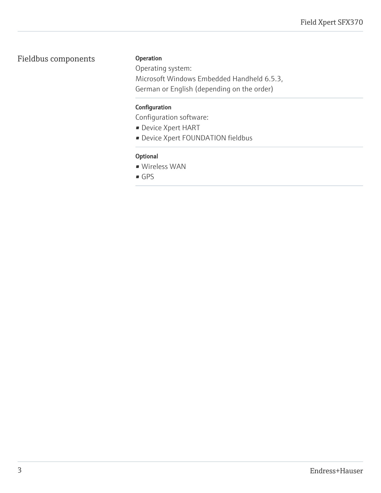# Fieldbus components

#### Operation

Operating system: Microsoft Windows Embedded Handheld 6.5.3, German or English (depending on the order)

#### Configuration

Configuration software:

- Device Xpert HART
- Device Xpert FOUNDATION fieldbus

#### Optional

- Wireless WAN
- GPS